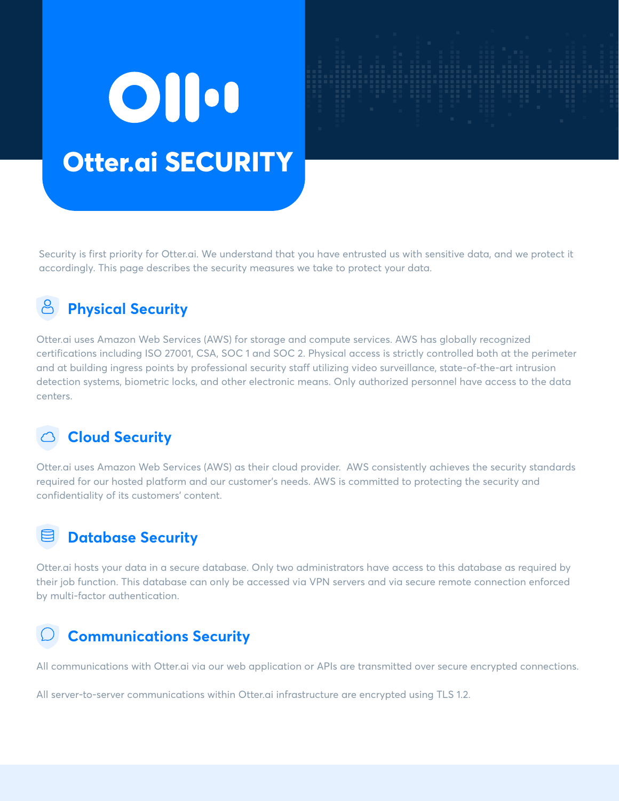# OII. **Otter.ai SECURITY**

Security is first priority for Otter.ai. We understand that you have entrusted us with sensitive data, and we protect it accordingly. This page describes the security measures we take to protect your data.

## **Physical Security**

Otter.ai uses Amazon Web Services (AWS) for storage and compute services. AWS has globally recognized certifications including ISO 27001, CSA, SOC 1 and SOC 2. Physical access is strictly controlled both at the perimeter and at building ingress points by professional security staff utilizing video surveillance, state-of-the-art intrusion detection systems, biometric locks, and other electronic means. Only authorized personnel have access to the data centers.

### **Cloud Security**

Otter.ai uses Amazon Web Services (AWS) as their cloud provider. AWS consistently achieves the security standards required for our hosted platform and our customer's needs. AWS is committed to protecting the security and confidentiality of its customers' content.

### **Database Security**

Otter.ai hosts your data in a secure database. Only two administrators have access to this database as required by their job function. This database can only be accessed via VPN servers and via secure remote connection enforced by multi-factor authentication.

## **Communications Security**

All communications with Otter.ai via our web application or APIs are transmitted over secure encrypted connections.

All server-to-server communications within Otter.ai infrastructure are encrypted using TLS 1.2.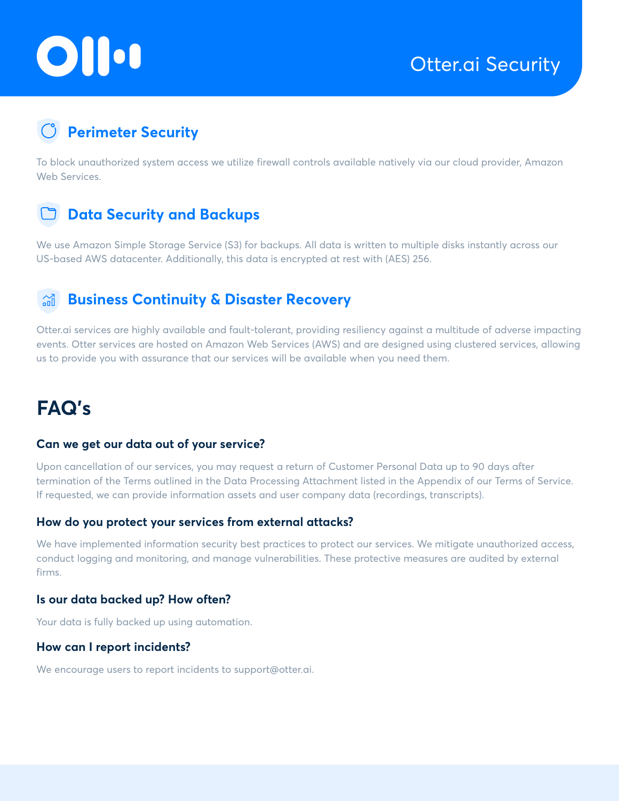# OII.

# **Perimeter Security**

To block unauthorized system access we utilize firewall controls available natively via our cloud provider, Amazon Web Services.

### **Data Security and Backups**

We use Amazon Simple Storage Service (S3) for backups. All data is written to multiple disks instantly across our US-based AWS datacenter. Additionally, this data is encrypted at rest with (AES) 256.

#### **Business Continuity & Disaster Recovery**  $\widehat{d}$

Otter.ai services are highly available and fault-tolerant, providing resiliency against a multitude of adverse impacting events. Otter services are hosted on Amazon Web Services (AWS) and are designed using clustered services, allowing us to provide you with assurance that our services will be available when you need them.

# **FAQ's**

#### **Can we get our data out of your service?**

Upon cancellation of our services, you may request a return of Customer Personal Data up to 90 days after termination of the Terms outlined in the Data Processing Attachment listed in the Appendix of our Terms of Service. If requested, we can provide information assets and user company data (recordings, transcripts).

#### **How do you protect your services from external attacks?**

We have implemented information security best practices to protect our services. We mitigate unauthorized access, conduct logging and monitoring, and manage vulnerabilities. These protective measures are audited by external firms.

#### **Is our data backed up? How often?**

Your data is fully backed up using automation.

#### **How can I report incidents?**

We encourage users to report incidents to support@otter.ai.